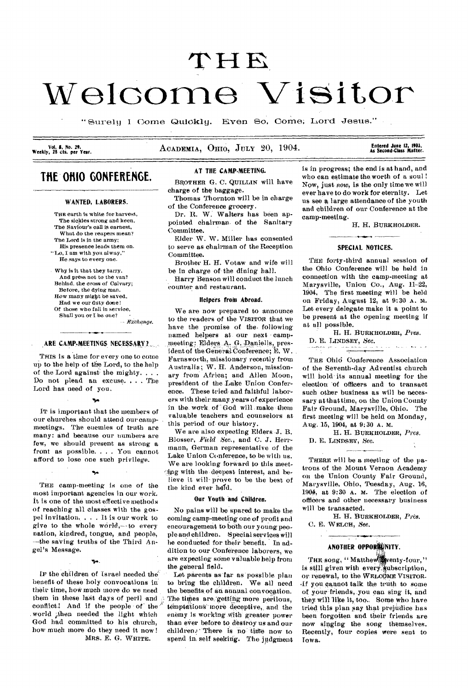# $\tt THE$ **Welcome Visitor**

" Surely I Come Quickly. Even So, Come; Lord Jesus."

**Vol. 8, No. 29.**<br>**Weekly, 25 cts. per Year.** 

ACADEMIA, OHIO, JULY 20, 1904.

## **As Second•Class Matter.**

## THE OHIO GONFERENGE.

## WANTED, LABORERS.

THE earth is white for harvest. The sickles strong and keen, The Saviour's call is earnest, What do the reapers mean? The Lord is in the army; His presence leads them on. "Lo, I am with you alway," He says to every one.

Why is it that they tarry. And press not to the van? Behind. the cross of Calvary; Before, the dying man. How many might be saved, Had we our duty done! Of those who fall in service, Shall you or I be one?

*Egehqmge.* 

## ARE CAMP-MEETINGS NECESSARY?

THIS is a time for every one to come up to the help of the Lord, to the help of the Lord against' the mighty. . . . Do not plead an excuse. . . . The Lord has need of you.

IT is important that the members of our churches should attend our campmeetings. The enemies of truth are many: and because our numbers are few, we should present as strong a front as possible. . . . You cannot afford to lose one such privilege.

THE camp-meeting is one of the most important agencies in our work. It is one of the most effective methods of reaching all classes with the gospel invitation. . . . It is our work to give to the whole world,— to every nation, kindred, tongue, and people, --the saving truths of the Third Angel's Message.

 $\blacktriangledown$ 

IF the children of Israel needed the benefit of these holy convocations in their time, how much more do we need them in these last days of peril and conflict! And if the people of the world then needed the light which God had committed to his church, how much more do they need it now ! MRS. E. G. WHITE.

## AT THE CAMP-MEETING.

BROTHER G. C. QUILLIN will have charge of the-baggage.

Thomas Thornton will be in charge of the Conference grocery.

Dr. R. W. Walters has been appointed chairman- of the Sanitary Committee.

Elder W. W. Miller has consented to serve as chairman of the Reception Committee.

Brother H. H. Votaw and wife will be in charge of-the dining hall.

• Harry Benson will conduct the lunch counter and restaurant.

#### Helpers froin Abroad.

We are now prepared to announce to the readers of-the **VISITOR** that we have the promise of the following named helpers at- our next • camp meeting; Elders A, G. Daniells, president of the General Conference; E. W. Farnsworth, missionary recently from Australia; W. IL Anderson, missionary from Africa; and Allen Moon, president of the Lake Union Conference. These tried-and faithful laborers with their-many-years of experience in the work of God will make them valuable teachers and counselors at this period of our history.

We are also expecting Elders -J. B. Blosser, *Field See.,* and C. J. Herrmann, German representative of the Lake Union Conference, to be with us. We are looking forward to this meet-Aug with the-deepest interest, and believe it will prove to be the best of the kind ever held.

## Our Youth and Children.

No pains will be spared to make the coming camp-meeting one of profit and encouragement to both our young people and children. Special services will he conducted for their benefit. In addition to our Conference laborers, we are expecting some valuable help from the general field.

Let parents as far as possible plan to bring the children. We all need the benefits of an annual convocation. The times are getting more perilous, temptations more deceptive, and the enemy is working With-greater power than ever before to destroy us and our children. There is no time now to spend in self seeking. The judgment is in progress; the end is at hand, and who can estimate the worth of a soul ! Now, just *now, is* the only time we will ever have to do work for eternity. Let us see a large attendance of the youth and children of our Conference at the camp-meeting.

H. H. **BURKHOLDER.** 

## SPECIAL NOTICES.

للمالك

THE forty-third annual session of the Ohio Conference will be held in connection with the camp-meeting at Marysville, Union Co., Aug. 11-22, 1904. The first meeting will be held on Friday, August 12, at 9:30 A. M. Let every delegate make it a point to be present at the opening meeting if at all possible.

H. H. **BURKHOLDER,** *Pres.*  D. E. LINDSEY, *Sec.*  . . **As an all Way to be** ÷.

**THE** Ohid Conference Association of the Seventh-day Adventist church will hold its annual meeting for the election 'of officers and to transact such other business as will be necessary at that time, on the Union County Fair Ground, Marysville, Ohio. The first meeting will be held on Monday, Aug. 15, 1904, at 9:30 A. M.

H. H. **BURKHOLDER,** *Pres.*  D. E. **LINDSEY,** Sec.

**THERE** will be a meeting of the patrons of the Mount Vernon Academy on the Union County Fair Ground, Marysville, Ohio, Tuesday, Aug. 16, 1904, at 9:30 A. M. The election of offidees and other necessary business will be transacted.

H. H. **BURKHOLDER, Pres.**  C. E. WELCH, See.

## ANOTHER OPPORIUNITY.

THE song, " Matthew wenty-four," is still given with every, ubscription, or renewal, to the **WELCOME** VISITOR. ,If you cannot talk the truth to some of yOur friends, you can sing it, and they will like it, too. Some who have tried this plan say that prejudice has been forgotten and their friends are now singing the song themselves. Recently, four copies were sent to Iowa.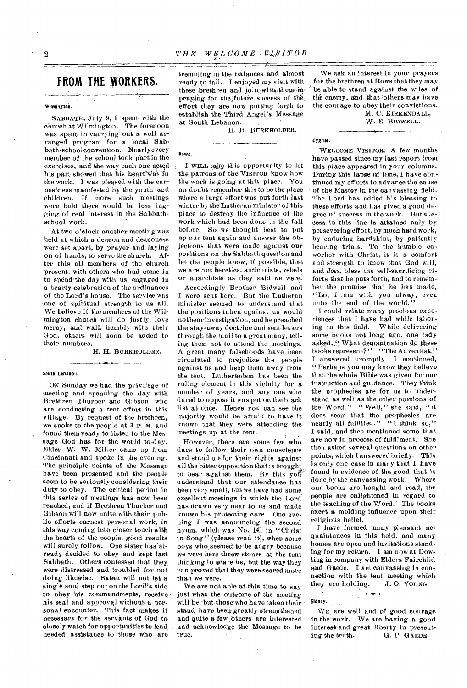## **FROM THE WORKERS.**

## Witmington.

SABBATH, July 9, I 'spent with the church at Wilmington. The forenoon was spent in carrying out a well arranged program for a local Sabbath-schoolconvention. Nearlyevery member of the school took part in the exercises, and the way each one acted his part showed that his heart was in the work. I was pleased with the earnestness manifested by the youth and children. If more such meetings were held there would be less lagging of real interest in the Sabbathschool work.

At two o'clock another meeting was held at which a deacon and deaconess were set apart, by prayer and laying on of hands, to serve the church. After this all members of the church present, with others who had come in to spend the day with us, engaged in a hearty celebration of the ordinances of the Lord's house. The service was 'one of spiritual strength to us all. We believe if the members of the Wilmington church will do justly, love mercy, and walk humbly with their God, others will soon be added to their numbers.

H. H. BURKHOLDER.

## South Lebanon.

ON Sunday we had the privilege of meeting and spending the day with Brethren Thurber and Gibson, who are conducting a tent effort in this village. By request of the brethren, we spoke to the people at 3 P. M. and found them ready to listen to the Message God has for the world to-day. Elder W. W. Miller. came up from Cincinnati and spoke in the evening. The principle points of the Message have been presented and the people seem to be seriously considering their duty to obey. The critical period in this series of meetings has now been reached, and if Brethren Thurber and Gibson will now unite with their public efforts earnest personal work, in this way coming into closer touch with the hearts of the people, good results will surely follow. One sister has'already decided to obey and kept last Sabbath. Others confessed that they, were distressed and troubled for not doing likewise. Satan will not let a single soul step out on. he Lord's side to obey his commandments, receive, his seal and approval without a personal encounter. This fact makes it necessary for the servants of God toclosely watch for opportunities to lend, needed assistance to those who are trembling in the balances and almost ready to fall. I enjoyed my visit with these brethren and join, with them inpraying for the future success of the effort they are now putting forth to establish the Third Angel's Message at South Lebanon.

Rows.

H. H. BURKHOLDER.

be able to stand against the wiles of the enemy, and that others may have the courage to obey their convictions. M. C. KIRKENDALL,

W. E. BIDWELL.

We ask an interest in your prayers for the brethren at Rows that they may

WELCOME VISITOR: A few months

## **Cygnet.**

## I WILL take this opportunity to let the-patrons of the VISITOR know how the work is-going at this place.. You no doubt remember this to be the place where a large effort was put forth last winter by the Lutheran minister of this place to destroy the influence of the work which had been done in the fall before. So we thought best to put up our tent again and answer the objections that were made against our positions on the Sabbath question and let the people know, if possible, that we are not heretics, antichrists, rebels or anarchists as they said' we were. have passed since my last report from this place appeared in your columns.

Accordingly Brother Bidwell and I were sent here. But the Lutheran minister seemed to understand that the positions taken against us would notbear investigation, and he preached the stay-away doctrine and sent letters through the mail to a great many., telling them not to attend the meetings. A great many falsehoods have been circulated to prejudice the people against us and keep them away from the tent. Lutheranism has been the ruling element in this vicinity for a number of years, and any one who dared to oppose it was put on the black list at once. Hence you can see the majority would be afraid to have it known that they were attending the meetings up at the tent.

However, there are some few who dare to follow their own conscience and stand up-for their rights against all the bitter opposition that is brought to bear against them. By this yof understand that our attendance has been very small, but we have had some. excellent meetings in which the Lord has drawn very near to us and made known his protecting care. One eve, ning I was announcing the second hymn, which was No. 141 in "Christ in Song "-(please read it), when'some boys who\_ seemed to - be *angry* because we were here threw stones at the tent thinking to scare us, but the way they ran proved that they were scared more than we were.

We are not able at this time to say just what the outcome of the meeting will be, but those who have taken their stand have been-greatly strengthened and quite a few others are interested and acknowledge the Message to be true.

During this lapse of time, I have continued my efforts to advance the cause of the Master in the canvassing field. The Lord has added his blessing to these efforts and has given a good de. gree of success in the work. But success in this line is attained only by persevering effort, by much hard work, by enduring hardships, by patiently bearing trials. To the humble coworker with Christ, it is a comfort and strength to know that God will, and *does,* bless 'the self-sacrificing efforts that he puts forth, and to remember the promise that he has made, "Lo, I . am with you alway, even unto the end of the world."

I could relate many precious experiences that I have had while laboring in this field. While delivering some books not long ago, one lady asked,," What denomination do these books represent?" "The Adventist," I answered promptly, 1 continued, "Perhaps you may know they believe that the whole Bible was given for our instruction and guidance. They think the prophecies are for us to understand as well as the other portions of the Word." "Well," she said, "it does seem that the prophecies are nearly all fulfilled." "I think so," I said, and then mentioned some that are now in process of fulfilment. She then asked several questions on other points, which I answered briefly. This is only one case in many that I have found in evidence of the good that is done by the canvassing work. Where our books are bought and read, the -people are enlightened in regard to the teaching of the Word.' The books exert a molding influence upon their religious belief.

I have formed many pleasant acquaintances in this field, and many homes are open and invitations standing for my return. I am now at Dowling in company with Elders Fairchild and-Gaede. I am canvassing in connection with the tent meeting which<br>they are holding. J.O. YOUNG. they are holding.

WE are well and of good courage in the-work. We are having a good interest and great liberty in present-<br>ing the truth. G. P. GAEDE. G. P. GAEDE.

Sidney.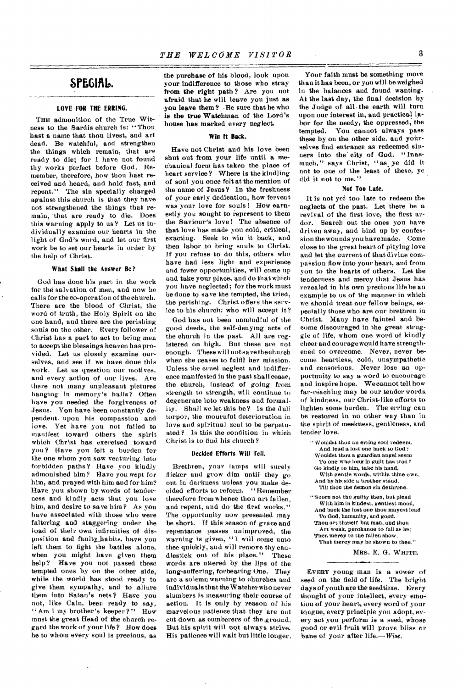## SPEGIAL.

## **LOVE FOR THE ERRING.**

THE admonition of the True Witness to the Sardis church is: "Thou hast a name that thou livest, and art dead. Be watchful, and strengthen the things which remain, that are ready to die; for I have not found thy works perfect before God. Remember, therefore, how thou bast received and heard, and hold fast, and repent." The sin specially charged against this church is that they have not strengthened the things that remain, 'that are ready to die. Does this warning apply to us ? Let us individually examine our hearts in the light of God's word, and let our first work be to set our hearts in order by the help of Christ.

## **What Shall the Answer Be?**

God has done his part in the work for the salvation of men, and now he calls for the co-operation of the church. There are the blood of Christ, the word of truth, the Holy Spirit on the one hand, and there are the perishing souls on the other. Every follower of Christ has a part to act to bring men to accept the blessings heaven has provided. Let us closely examine ourselves, and see if we have done this work. Let us question our motives, and every action of our lives. Are there not many unpleasant pictures hanging in memory's halls? Often have you needed the forgiveness of Jesus. You have been constantly dependent. upon his compassion and love. Yet have you not failed to manifest toward others the spirit which Christ has exercised toward you? Have you felt a burden for the one whom you saw venturing into forbidden paths? Have you kindly admonished him? Have you wept for him, and prayed with him and for him? Have you shown by words of tenderness and kindly acts that you love him, and desire to save him? As you have associated with those who were faltering and staggering under the load of their own infirmities of disposition and faulty, habits, have you left them to fight the battles alone, when you might have given them help? Have you not passed these tempted ones by on the other side, while the world has stood ready to give them sympathy, and to allure them into Satan's nets? Have you not, like Cain, been ready to say, " Am I my brother's keeper?" How must the great Read of the church regard the work of your life ? How does he to whom every soul is precious, as

the purchase of his blood, look upon your indifference to those who stray from the right path ? Are you not afraid that he will leave you just as **you leave them?** Be sure that he who is **the true** Watchman of the Lord's house has marked every neglect.

## **Win It Back.**

Have not Christ and his love been shut out from your life until a mechanical form has taken the place of heart service? Where is the kindling of soul you once felt at the mention of the name of Jesus? In the freshness of your early dedication, how fervent was your love for souls! How earnestly you sought to represent to them the Saviour's love! The absence of that love has made you cold, critical, exacting. Seek to win it back, and then labor to bring souls to Christ. If you refuse to do this, others who have had less light and experience and fewer opportunities, will come up and take your place, and do that which you have neglected; for the work must be done to save the tempted, the tried, the perishing. Christ offers the service to his church; who will accept it?

God has not been unmindful of the good deeds, the self-denying acts of the church in the past. All are registered on high. But these are not enough. These will not save the church when she ceases to fulfil her mission. Unless the cruel neglect and indifference manifested in the past shall cease, the church, instead of going from strength to strength, will continue to degenerate into weakness and formality. Shall we let this be? Is the dull torpor, the mournful deterioration in love and spiritual zeal to be perpetuated ? Is this the condition in which Christ is to find his church ?

## Decided Efforts Will Tell.

Brethren, your lamps will surely flicker and grow dim until they go out in darkness unless you make decided efforts to reform. "Remember therefore from whence thou art fallen, and repent, and do the first works." The opportunity now presented may be short. If this season of grace and repentance passes unimproved, the warning is given, "I will come unto thee quickly, and will remove thy candlestick out of his place." These words are uttered by the lips of the long-suffering, forbearing One. They are a solemn warning to churches and individuals that the Watcher who never slumbers is measuring their course of action. It is only by reason of his marvelous patience that they are not cut down as cumberers of the.ground. But his spirit will 'not always strive. His patience will wait but little longer.

Your faith must be something more than it has been, or you will be weighed in the balances and found wanting. At the last day, the final decision by the Judge of all .the earth will turn upon our interest in, and practical labor for the needy, the oppressed, the tempted. You cannot always pass these by on the other side, and yourselves find entrance as redeemed sinners into the city of God. "Inasmuch," says Christ, "as ye did it not to one of the least of these, ye did it not to me."

## Not **Too Late.**

It is not yet too late to redeem the neglects of the past. Let there be a revival of the first love, the first ardor. Search out the ones you have driven away, and bind up by confession the wounds you have made. Come close to the great heart of pitying love and let the current of that divine compassion flow into your heart, and from you to the hearts of others. Let the tenderness and mercy that Jesus has revealed in his own precious life be an example to us of the manner in which we should treat our fellow beings, especially those who are our brethren in Christ. Many have fainted and become discouraged in the great struggle of life, whom one word of kindly cheer and courage would have strengthened to overcome. Never, never become heartless, cold, unsympathetic and censorious. Never lose an opportunity to say a word to encourage and inspire hope. We cannot tell how far-reaching may be our tender words of kindness, our Christ-like efforts to lighten some burden. The erring can be restored in no other way than in the spirit of meekness, gentleness, and tender love.

" Wouldst thou an erring soul redeem. And lead a lost one back to God': Wouldst thou a guardian angel seem To one who long in guilt has trod ? Go kindly to him, take his hand,

With gentle words, within thine own. And by his side a brother stand,

Till thou the demon sin dethrone.

"Scorn not the guilty then, but plead With him in kindest, gentlest mood, And back the lost one thou mayest lead To God, humanity, and good. Thou art thyself but man, and thou Art weak, perchance to fall as he;

Then mercy to the fallen show, That mercy may be shown to thee."

MRS. E. G. WHITE.

EVERY young man is a sower of seed on the field of life. The bright days of youth are the seedtime. Every thought of your intellect, every emotion of your heart, every word of your tongue, every principle you adopt, every act you perform is a seed, whose good or evil fruit will prove bliss or bane of your after life.—*Wise.*